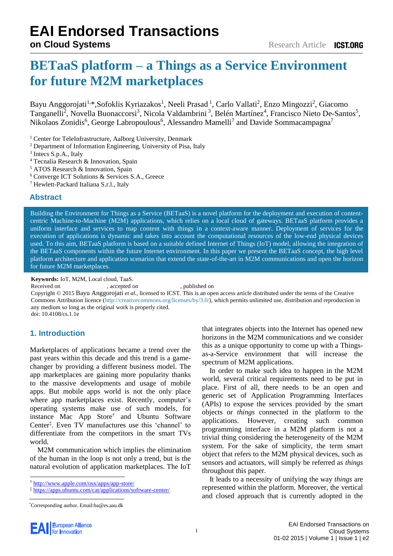# **BETaaS platform – a Things as a Service Environment for future M2M marketplaces**

Bayu Anggorojati<sup>1,\*</sup>,Sofoklis Kyriazakos<sup>1</sup>, Neeli Prasad<sup>1</sup>, Carlo Vallati<sup>2</sup>, Enzo Mingozzi<sup>2</sup>, Giacomo Tanganelli<sup>2</sup>, Novella Buonaccorsi<sup>3</sup>, Nicola Valdambrini<sup>3</sup>, Belén Martínez<sup>4</sup>, Francisco Nieto De-Santos<sup>5</sup>, Nikolaos Zonidis<sup>6</sup>, George Labropoulous<sup>6</sup>, Alessandro Mamelli<sup>7</sup> and Davide Sommacampagna<sup>7</sup>

<sup>1</sup> Center for TeleInfrastructure, Aalborg University, Denmark

- <sup>2</sup> Department of Information Engineering, University of Pisa, Italy
- <sup>3</sup> Intecs S.p.A., Italy
- <sup>4</sup> Tecnalia Research & Innovation, Spain
- <sup>5</sup> ATOS Research & Innovation, Spain
- <sup>6</sup> Converge ICT Solutions & Services S.A., Greece
- <sup>7</sup> Hewlett-Packard Italiana S.r.l., Italy

#### **Abstract**

Building the Environment for Things as a Service (BETaaS) is a novel platform for the deployment and execution of contentcentric Machine-to-Machine (M2M) applications, which relies on a local cloud of gateways. BETaaS platform provides a uniform interface and services to map content with things in a context-aware manner. Deployment of services for the execution of applications is dynamic and takes into account the computational resources of the low-end physical devices used. To this aim, BETaaS platform is based on a suitable defined Internet of Things (IoT) model, allowing the integration of the BETaaS components within the future Internet environment. In this paper we present the BETaaS concept, the high level platform architecture and application scenarios that extend the state-of-the-art in M2M communications and open the horizon for future M2M marketplaces.

**Keywords:** IoT, M2M, Local cloud, TaaS.

Received on 16 December 2014, accepted on 20 January 2015 , published on 23 February 2015

Copyright © 2015 Bayu Anggorojati *et al.*, licensed to ICST. This is an open access article distributed under the terms of the Creative Commons Attribution licence (http://creat[ivecommons.org/licenses/by/3.0/\), which perm](http://creativecommons.org/licenses/by/3.0/)its unlimited use, distribution and reproduction in any medium so long as the original work is properly cited.

doi: 10.4108/cs.1.1e2

### **1. Introduction**

Marketplaces of applications became a trend over the past years within this decade and this trend is a gamechanger by providing a different business model. The app marketplaces are gaining more popularity thanks to the massive developments and usage of mobile apps. But mobile apps world is not the only place where app marketplaces exist. Recently, computer's operating systems make use of such models, for instance Mac App Store† and Ubuntu Software Center‡ . Even TV manufactures use this 'channel' to differentiate from the competitors in the smart TVs world.

M2M communication which implies the elimination of the human in the loop is not only a trend, but is the natural evolution of application marketplaces. The IoT that integrates objects into the Internet has opened new horizons in the M2M communications and we consider this as a unique opportunity to come up with a Thingsas-a-Service environment that will increase the spectrum of M2M applications.

In order to make such idea to happen in the M2M world, several critical requirements need to be put in place. First of all, there needs to be an open and generic set of Application Programming Interfaces (APIs) to expose the services provided by the smart objects or *things* connected in the platform to the applications. However, creating such common programming interface in a M2M platform is not a trivial thing considering the heterogeneity of the M2M system. For the sake of simplicity, the term smart object that refers to the M2M physical devices, such as sensors and actuators, will simply be referred as *things*  throughout this paper.

It leads to a necessity of unifying the way *things* are represented within the platform. Moreover, the vertical and closed approach that is currently adopted in the

<sup>†</sup> http://www.apple.com/osx/apps/app-store/

<sup>‡</sup> [https://apps.ubuntu.com/cat/applications/so](http://www.apple.com/osx/apps/app-store/)[ftware-center/](https://apps.ubuntu.com/cat/applications/software-center/)

<sup>\*</sup>Corresponding author. Email:ba@es.aau.dk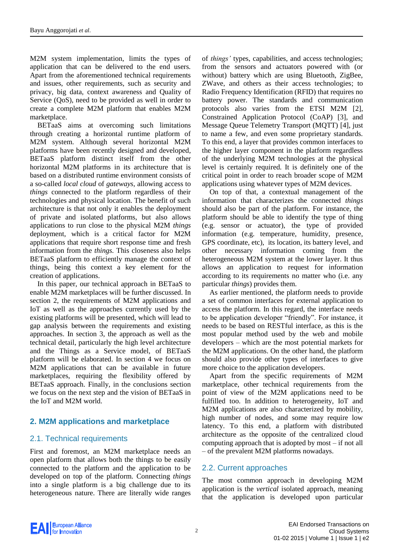M2M system implementation, limits the types of application that can be delivered to the end users. Apart from the aforementioned technical requirements and issues, other requirements, such as security and privacy, big data, context awareness and Quality of Service (QoS), need to be provided as well in order to create a complete M2M platform that enables M2M marketplace.

BETaaS aims at overcoming such limitations through creating a horizontal runtime platform of M2M system. Although several horizontal M2M platforms have been recently designed and developed, BETaaS platform distinct itself from the other horizontal M2M platforms in its architecture that is based on a distributed runtime environment consists of a so-called *local cloud* of *gateways*, allowing access to *things* connected to the platform regardless of their technologies and physical location. The benefit of such architecture is that not only it enables the deployment of private and isolated platforms, but also allows applications to run close to the physical M2M *things* deployment, which is a critical factor for M2M applications that require short response time and fresh information from the *things.* This closeness also helps BETaaS platform to efficiently manage the context of things, being this context a key element for the creation of applications.

In this paper, our technical approach in BETaaS to enable M2M marketplaces will be further discussed. In section 2, the requirements of M2M applications and IoT as well as the approaches currently used by the existing platforms will be presented, which will lead to gap analysis between the requirements and existing approaches. In section 3, the approach as well as the technical detail, particularly the high level architecture and the Things as a Service model, of BETaaS platform will be elaborated. In section 4 we focus on M2M applications that can be available in future marketplaces, requiring the flexibility offered by BETaaS approach. Finally, in the conclusions section we focus on the next step and the vision of BETaaS in the IoT and M2M world.

## **2. M2M applications and marketplace**

### 2.1. Technical requirements

First and foremost, an M2M marketplace needs an open platform that allows both the things to be easily connected to the platform and the application to be developed on top of the platform. Connecting *things* into a single platform is a big challenge due to its heterogeneous nature. There are literally wide ranges of *things'* types, capabilities, and access technologies; from the sensors and actuators powered with (or without) battery which are using Bluetooth, ZigBee, ZWave, and others as their access technologies; to Radio Frequency Identification (RFID) that requires no battery power. The standards and communication protocols also varies from the ETSI M2M [2], Constrained Application Protocol (CoAP) [3], and Message Queue Telemetry Transport (MQTT) [4], just to name a few, and even some proprietary standards. To this end, a layer that provides common interfaces to the higher layer component in the platform regardless of the underlying M2M technologies at the physical level is certainly required. It is definitely one of the critical point in order to reach broader scope of M2M applications using whatever types of M2M devices.

On top of that, a contextual management of the information that characterizes the connected *things*  should also be part of the platform. For instance, the platform should be able to identify the type of thing (e.g. sensor or actuator), the type of provided information (e.g. temperature, humidity, presence, GPS coordinate, etc), its location, its battery level, and other necessary information coming from the heterogeneous M2M system at the lower layer. It thus allows an application to request for information according to its requirements no matter who (i.e. any particular *things*) provides them.

As earlier mentioned, the platform needs to provide a set of common interfaces for external application to access the platform. In this regard, the interface needs to be application developer "friendly". For instance, it needs to be based on RESTful interface, as this is the most popular method used by the web and mobile developers – which are the most potential markets for the M2M applications. On the other hand, the platform should also provide other types of interfaces to give more choice to the application developers.

Apart from the specific requirements of M2M marketplace, other technical requirements from the point of view of the M2M applications need to be fulfilled too. In addition to heterogeneity, IoT and M2M applications are also characterized by mobility, high number of nodes, and some may require low latency. To this end, a platform with distributed architecture as the opposite of the centralized cloud computing approach that is adopted by most – if not all – of the prevalent M2M platforms nowadays.

### 2.2. Current approaches

The most common approach in developing M2M application is the *vertical* isolated approach, meaning that the application is developed upon particular

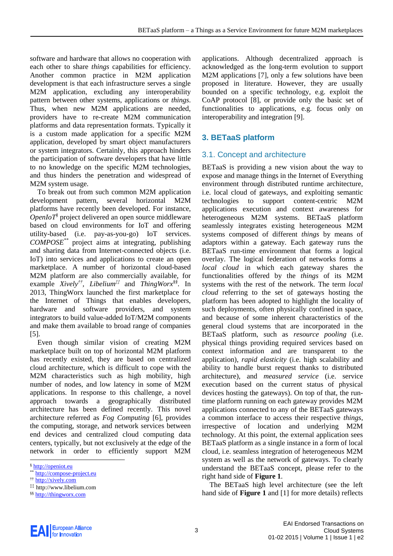software and hardware that allows no cooperation with each other to share *things* capabilities for efficiency. Another common practice in M2M application development is that each infrastructure serves a single M2M application, excluding any interoperability pattern between other systems, applications or *things*. Thus, when new M2M applications are needed, providers have to re-create M2M communication platforms and data representation formats. Typically it is a custom made application for a specific M2M application, developed by smart object manufacturers or system integrators. Certainly, this approach hinders the participation of software developers that have little to no knowledge on the specific M2M technologies, and thus hinders the penetration and widespread of M2M system usage.

To break out from such common M2M application development pattern, several horizontal M2M platforms have recently been developed. For instance, *OpenIoT§* project delivered an open source middleware based on cloud environments for IoT and offering utility-based (i.e. pay-as-you-go) IoT services. *COMPOSE\*\** project aims at integrating, publishing and sharing data from Internet-connected objects (i.e. IoT) into services and applications to create an open marketplace. A number of horizontal cloud-based M2M platform are also commercially available, for example *Xively††, Libelium‡‡* and *ThingWorx§§*. In 2013, ThingWorx launched the first marketplace for the Internet of Things that enables developers, hardware and software providers, and system integrators to build value-added IoT/M2M components and make them available to broad range of companies [5].

Even though similar vision of creating M2M marketplace built on top of horizontal M2M platform has recently existed, they are based on centralized cloud architecture, which is difficult to cope with the M2M characteristics such as high mobility, high number of nodes, and low latency in some of M2M applications. In response to this challenge, a novel approach towards a geographically distributed architecture has been defined recently. This novel architecture referred as *Fog Computing* [6], provides the computing, storage, and network services between end devices and centralized cloud computing data centers, typically, but not exclusively at the edge of the network in order to efficiently support M2M

applications. Although decentralized approach is acknowledged as the long-term evolution to support M2M applications [7], only a few solutions have been proposed in literature. However, they are usually bounded on a specific technology, e.g. exploit the CoAP protocol [8], or provide only the basic set of functionalities to applications, e.g. focus only on interoperability and integration [9].

## **3. BETaaS platform**

## 3.1. Concept and architecture

BETaaS is providing a new vision about the way to expose and manage things in the Internet of Everything environment through distributed runtime architecture, i.e. local cloud of gateways, and exploiting semantic technologies to support content-centric M2M applications execution and context awareness for heterogeneous M2M systems. BETaaS platform seamlessly integrates existing heterogeneous M2M systems composed of different *things* by means of adaptors within a gateway. Each gateway runs the BETaaS run-time environment that forms a logical overlay. The logical federation of networks forms a *local cloud* in which each gateway shares the functionalities offered by the *things* of its M2M systems with the rest of the network. The term *local cloud* referring to the set of gateways hosting the platform has been adopted to highlight the locality of such deployments, often physically confined in space, and because of some inherent characteristics of the general cloud systems that are incorporated in the BETaaS platform, such as *resource pooling* (i.e. physical things providing required services based on context information and are transparent to the application), *rapid elasticity* (i.e. high scalability and ability to handle burst request thanks to distributed architecture), and *measured service* (i.e. service execution based on the current status of physical devices hosting the gateways). On top of that, the runtime platform running on each gateway provides M2M applications connected to any of the BETaaS gateways a common interface to access their respective *things*, irrespective of location and underlying M2M technology. At this point, the external application sees BETaaS platform as a single instance in a form of local cloud, i.e. seamless integration of heterogeneous M2M system as well as the network of gateways. To clearly understand the BETaaS concept, please refer to the right hand side of **[Figure 1](#page-3-0)**.

The BETaaS high level architecture (see the left hand side of **[Figure 1](#page-3-0)** and [1] for more details) reflects



<sup>§</sup> [http://openiot.eu](http://openiot.eu/)

<sup>\*\*</sup> [http://compose-project.eu](http://compose-project.eu/)

<sup>††</sup> [http://xively.com](http://xively.com/)

<sup>‡‡</sup> http://www.libelium.com

<sup>§§</sup> [http://thingworx.com](http://thingworx.com/)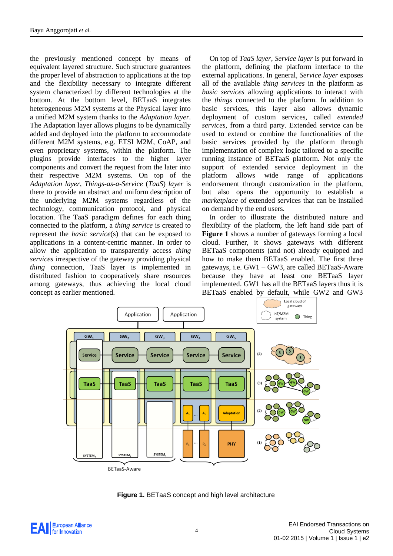the previously mentioned concept by means of equivalent layered structure. Such structure guarantees the proper level of abstraction to applications at the top and the flexibility necessary to integrate different system characterized by different technologies at the bottom. At the bottom level, BETaaS integrates heterogeneous M2M systems at the Physical layer into a unified M2M system thanks to the *Adaptation layer*. The Adaptation layer allows plugins to be dynamically added and deployed into the platform to accommodate different M2M systems, e.g. ETSI M2M, CoAP, and even proprietary systems, within the platform. The plugins provide interfaces to the higher layer components and convert the request from the later into their respective M2M systems. On top of the *Adaptation layer*, *Things-as-a-Service* (*TaaS*) *layer* is there to provide an abstract and uniform description of the underlying M2M systems regardless of the technology, communication protocol, and physical location. The TaaS paradigm defines for each thing connected to the platform, a *thing service* is created to represent the *basic service*(s) that can be exposed to applications in a content-centric manner. In order to allow the application to transparently access *thing services* irrespective of the gateway providing physical *thing* connection, TaaS layer is implemented in distributed fashion to cooperatively share resources among gateways, thus achieving the local cloud concept as earlier mentioned.

On top of *TaaS layer*, *Service layer* is put forward in the platform, defining the platform interface to the external applications. In general, *Service layer* exposes all of the available *thing services* in the platform as *basic services* allowing applications to interact with the *things* connected to the platform. In addition to basic services, this layer also allows dynamic deployment of custom services, called *extended services*, from a third party. Extended service can be used to extend or combine the functionalities of the basic services provided by the platform through implementation of complex logic tailored to a specific running instance of BETaaS platform. Not only the support of extended service deployment in the platform allows wide range of applications endorsement through customization in the platform, but also opens the opportunity to establish a *marketplace* of extended services that can be installed on demand by the end users.

In order to illustrate the distributed nature and flexibility of the platform, the left hand side part of **[Figure 1](#page-3-0)** shows a number of gateways forming a local cloud. Further, it shows gateways with different BETaaS components (and not) already equipped and how to make them BETaaS enabled. The first three gateways, i.e. GW1 – GW3, are called BETaaS-Aware because they have at least one BETaaS layer implemented. GW1 has all the BETaaS layers thus it is BETaaS enabled by default, while GW2 and GW3





<span id="page-3-0"></span>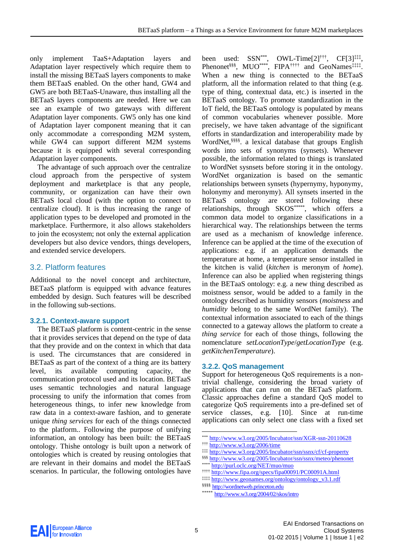only implement TaaS+Adaptation layers and Adaptation layer respectively which require them to install the missing BETaaS layers components to make them BETaaS enabled. On the other hand, GW4 and GW5 are both BETaaS-Unaware, thus installing all the BETaaS layers components are needed. Here we can see an example of two gateways with different Adaptation layer components. GW5 only has one kind of Adaptation layer component meaning that it can only accommodate a corresponding M2M system, while GW4 can support different M2M systems because it is equipped with several corresponding Adaptation layer components.

The advantage of such approach over the centralize cloud approach from the perspective of system deployment and marketplace is that any people, community, or organization can have their own BETaaS local cloud (with the option to connect to centralize cloud). It is thus increasing the range of application types to be developed and promoted in the marketplace. Furthermore, it also allows stakeholders to join the ecosystem; not only the external application developers but also device vendors, things developers, and extended service developers.

### 3.2. Platform features

Additional to the novel concept and architecture, BETaaS platform is equipped with advance features embedded by design. Such features will be described in the following sub-sections.

#### **3.2.1. Context-aware support**

The BETaaS platform is content-centric in the sense that it provides services that depend on the type of data that they provide and on the context in which that data is used. The circumstances that are considered in BETaaS as part of the context of a thing are its battery level, its available computing capacity, the communication protocol used and its location. BETaaS uses semantic technologies and natural language processing to unify the information that comes from heterogeneous things, to infer new knowledge from raw data in a context-aware fashion, and to generate unique *thing services* for each of the things connected to the platform.. Following the purpose of unifying information, an ontology has been built: the BETaaS ontology. Thishe ontology is built upon a network of ontologies which is created by reusing ontologies that are relevant in their domains and model the BETaaS scenarios. In particular, the following ontologies have

been used:  $SSN^{***}$ , OWL-Time $[2]$ <sup>†††</sup>, CF $[3]$ <sup>‡‡‡</sup>, Phenonet<sup>§§§</sup>, MUO<sup>\*\*\*\*</sup>, FIPA<sup>††††</sup> and GeoNames<sup>‡‡‡‡</sup>. When a new thing is connected to the BETaaS platform, all the information related to that thing (e.g. type of thing, contextual data, etc.) is inserted in the BETaaS ontology. To promote standardization in the IoT field, the BETaaS ontology is populated by means of common vocabularies whenever possible. More precisely, we have taken advantage of the significant efforts in standardization and interoperability made by WordNet, §§§§ . a lexical database that groups English words into sets of synonyms (synsets). Whenever possible, the information related to things is translated to WordNet sysnsets before storing it in the ontology. WordNet organization is based on the semantic relationships between synsets (hypernymy, hyponymy, holonymy and meronymy). All synsets inserted in the BETaaS ontology are stored following these relationships, through SKOS\*\*\*\*\*, which offers a common data model to organize classifications in a hierarchical way. The relationships between the terms are used as a mechanism of knowledge inference. Inference can be applied at the time of the execution of applications: e.g. if an application demands the temperature at home, a temperature sensor installed in the kitchen is valid (*kitchen* is meronym of *home*). Inference can also be applied when registering things in the BETaaS ontology: e.g. a new thing described as moistness sensor, would be added to a family in the ontology described as humidity sensors (*moistness* and *humidity* belong to the same WordNet family). The contextual information associated to each of the things connected to a gateway allows the platform to create a *thing service* for each of those things, following the nomenclature *setLocationType*/*getLocationType* (e.g. *getKitchenTemperature*).

#### **3.2.2. QoS management**

Support for heterogeneous QoS requirements is a nontrivial challenge, considering the broad variety of applications that can run on the BETaaS platform. Classic approaches define a standard QoS model to categorize QoS requirements into a pre-defined set of service classes, e.g. [10]. Since at run-time applications can only select one class with a fixed set

\*\*\* <http://www.w3.org/2005/Incubator/ssn/XGR-ssn-20110628>

‡‡‡ <http://www.w3.org/2005/Incubator/ssn/ssnx/cf/cf-property>



-

<sup>†††</sup> <http://www.w3.org/2006/time>

<sup>§§§</sup> <http://www.w3.org/2005/Incubator/ssn/ssnx/meteo/phenonet>

<http://purl.oclc.org/NET/muo/muo>

<sup>††††</sup> <http://www.fipa.org/specs/fipa00091/PC00091A.html>

<sup>‡‡‡‡</sup> [http://www.geonames.org/ontology/ontology\\_v3.1.rdf](http://www.geonames.org/ontology/ontology_v3.1.rdf)

<sup>§§§§§</sup> [http://wordnetweb.princeton.edu](http://wordnetweb.princeton.edu/)

<sup>\*\*\*\*\*</sup> <http://www.w3.org/2004/02/skos/intro>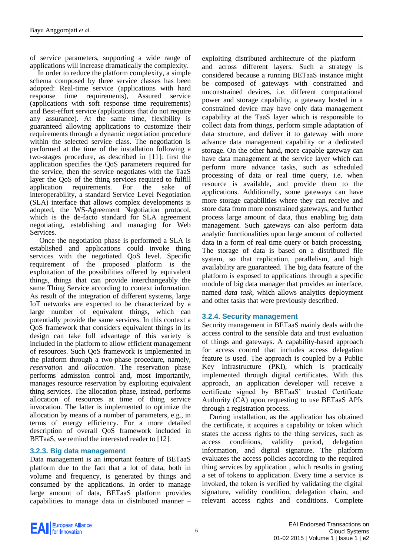of service parameters, supporting a wide range of applications will increase dramatically the complexity.

In order to reduce the platform complexity, a simple schema composed by three service classes has been adopted: Real-time service (applications with hard response time requirements), Assured service (applications with soft response time requirements) and Best-effort service (applications that do not require any assurance). At the same time, flexibility is guaranteed allowing applications to customize their requirements through a dynamic negotiation procedure within the selected service class. The negotiation is performed at the time of the installation following a two-stages procedure, as described in [11]: first the application specifies the QoS parameters required for the service, then the service negotiates with the TaaS layer the QoS of the thing services required to fulfill application requirements. For the sake of interoperability, a standard Service Level Negotiation (SLA) interface that allows complex developments is adopted, the WS-Agreement Negotiation protocol, which is the de-facto standard for SLA agreement negotiating, establishing and managing for Web Services.

Once the negotiation phase is performed a SLA is established and applications could invoke thing services with the negotiated QoS level. Specific requirement of the proposed platform is the exploitation of the possibilities offered by equivalent things, things that can provide interchangeably the same Thing Service according to context information. As result of the integration of different systems, large IoT networks are expected to be characterized by a large number of equivalent things, which can potentially provide the same services. In this context a QoS framework that considers equivalent things in its design can take full advantage of this variety is included in the platform to allow efficient management of resources. Such QoS framework is implemented in the platform through a two-phase procedure, namely, *reservation* and *allocation*. The reservation phase performs admission control and, most importantly, manages resource reservation by exploiting equivalent thing services. The allocation phase, instead, performs allocation of resources at time of thing service invocation. The latter is implemented to optimize the allocation by means of a number of parameters, e.g., in terms of energy efficiency. For a more detailed description of overall QoS framework included in BETaaS, we remind the interested reader to [12].

### **3.2.3. Big data management**

Data management is an important feature of BETaaS platform due to the fact that a lot of data, both in volume and frequency, is generated by things and consumed by the applications. In order to manage large amount of data, BETaaS platform provides capabilities to manage data in distributed manner –

exploiting distributed architecture of the platform – and across different layers. Such a strategy is considered because a running BETaaS instance might be composed of gateways with constrained and unconstrained devices, i.e. different computational power and storage capability, a gateway hosted in a constrained device may have only data management capability at the TaaS layer which is responsible to collect data from things, perform simple adaptation of data structure, and deliver it to gateway with more advance data management capability or a dedicated storage. On the other hand, more capable gateway can have data management at the service layer which can perform more advance tasks, such as scheduled processing of data or real time query, i.e. when resource is available, and provide them to the applications. Additionally, some gateways can have more storage capabilities where they can receive and store data from more constrained gateways, and further process large amount of data, thus enabling big data management. Such gateways can also perform data analytic functionalities upon large amount of collected data in a form of real time query or batch processing. The storage of data is based on a distributed file system, so that replication, parallelism, and high availability are guaranteed. The big data feature of the platform is exposed to applications through a specific module of big data manager that provides an interface, named *data task*, which allows analytics deployment and other tasks that were previously described.

#### **3.2.4. Security management**

Security management in BETaaS mainly deals with the access control to the sensible data and trust evaluation of things and gateways. A capability-based approach for access control that includes access delegation feature is used. The approach is coupled by a Public Key Infrastructure (PKI), which is practically implemented through digital certificates. With this approach, an application developer will receive a certificate signed by BETaaS' trusted Certificate Authority (CA) upon requesting to use BETaaS APIs through a registration process.

During installation, as the application has obtained the certificate, it acquires a capability or token which states the access rights to the thing services, such as access conditions, validity period, delegation information, and digital signature. The platform evaluates the access policies according to the required thing services by application , which results in grating a set of tokens to application. Every time a service is invoked, the token is verified by validating the digital signature, validity condition, delegation chain, and relevant access rights and conditions. Complete

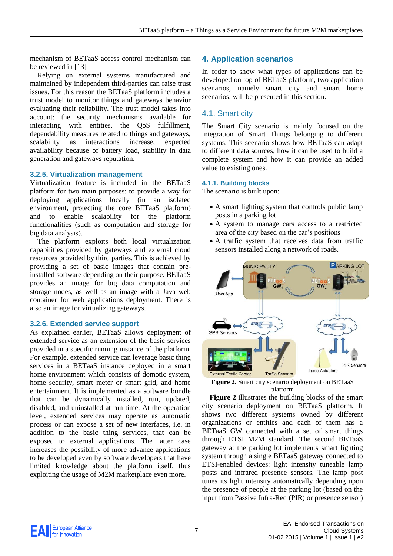mechanism of BETaaS access control mechanism can be reviewed in [13]

Relying on external systems manufactured and maintained by independent third-parties can raise trust issues. For this reason the BETaaS platform includes a trust model to monitor things and gateways behavior evaluating their reliability. The trust model takes into account: the security mechanisms available for interacting with entities, the QoS fulfillment, dependability measures related to things and gateways, scalability as interactions increase, expected availability because of battery load, stability in data generation and gateways reputation.

#### **3.2.5. Virtualization management**

Virtualization feature is included in the BETaaS platform for two main purposes: to provide a way for deploying applications locally (in an isolated environment, protecting the core BETaaS platform) and to enable scalability for the platform functionalities (such as computation and storage for big data analysis).

The platform exploits both local virtualization capabilities provided by gateways and external cloud resources provided by third parties. This is achieved by providing a set of basic images that contain preinstalled software depending on their purpose. BETaaS provides an image for big data computation and storage nodes, as well as an image with a Java web container for web applications deployment. There is also an image for virtualizing gateways.

#### **3.2.6. Extended service support**

As explained earlier, BETaaS allows deployment of extended service as an extension of the basic services provided in a specific running instance of the platform. For example, extended service can leverage basic thing services in a BETaaS instance deployed in a smart home environment which consists of domotic system, home security, smart meter or smart grid, and home entertainment. It is implemented as a software bundle that can be dynamically installed, run, updated, disabled, and uninstalled at run time. At the operation level, extended services may operate as automatic process or can expose a set of new interfaces, i.e. in addition to the basic thing services, that can be exposed to external applications. The latter case increases the possibility of more advance applications to be developed even by software developers that have limited knowledge about the platform itself, thus exploiting the usage of M2M marketplace even more.

## **4. Application scenarios**

In order to show what types of applications can be developed on top of BETaaS platform, two application scenarios, namely smart city and smart home scenarios, will be presented in this section.

## 4.1. Smart city

The Smart City scenario is mainly focused on the integration of Smart Things belonging to different systems. This scenario shows how BETaaS can adapt to different data sources, how it can be used to build a complete system and how it can provide an added value to existing ones.

#### **4.1.1. Building blocks**

The scenario is built upon:

- A smart lighting system that controls public lamp posts in a parking lot
- A system to manage cars access to a restricted area of the city based on the car's positions
- A traffic system that receives data from traffic sensors installed along a network of roads.



<span id="page-6-0"></span>**Figure 2.** Smart city scenario deployment on BETaaS platform

**[Figure 2](#page-6-0)** illustrates the building blocks of the smart city scenario deployment on BETaaS platform. It shows two different systems owned by different organizations or entities and each of them has a BETaaS GW connected with a set of smart things through ETSI M2M standard. The second BETaaS gateway at the parking lot implements smart lighting system through a single BETaaS gateway connected to ETSI-enabled devices: light intensity tuneable lamp posts and infrared presence sensors. The lamp post tunes its light intensity automatically depending upon the presence of people at the parking lot (based on the input from Passive Infra-Red (PIR) or presence sensor)

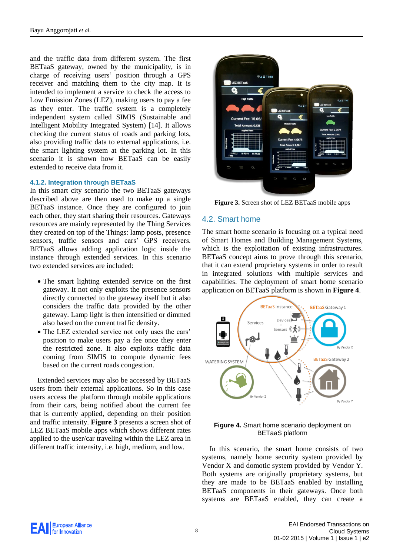and the traffic data from different system. The first BETaaS gateway, owned by the municipality, is in charge of receiving users' position through a GPS receiver and matching them to the city map. It is intended to implement a service to check the access to Low Emission Zones (LEZ), making users to pay a fee as they enter. The traffic system is a completely independent system called SIMIS (Sustainable and Intelligent Mobility Integrated System) [14]. It allows checking the current status of roads and parking lots, also providing traffic data to external applications, i.e. the smart lighting system at the parking lot. In this scenario it is shown how BETaaS can be easily extended to receive data from it.

#### **4.1.2. Integration through BETaaS**

In this smart city scenario the two BETaaS gateways described above are then used to make up a single BETaaS instance. Once they are configured to join each other, they start sharing their resources. Gateways resources are mainly represented by the Thing Services they created on top of the Things: lamp posts, presence sensors, traffic sensors and cars' GPS receivers. BETaaS allows adding application logic inside the instance through extended services. In this scenario two extended services are included:

- The smart lighting extended service on the first gateway. It not only exploits the presence sensors directly connected to the gateway itself but it also considers the traffic data provided by the other gateway. Lamp light is then intensified or dimmed also based on the current traffic density.
- The LEZ extended service not only uses the cars' position to make users pay a fee once they enter the restricted zone. It also exploits traffic data coming from SIMIS to compute dynamic fees based on the current roads congestion.

Extended services may also be accessed by BETaaS users from their external applications. So in this case users access the platform through mobile applications from their cars, being notified about the current fee that is currently applied, depending on their position and traffic intensity. **[Figure 3](#page-7-0)** presents a screen shot of LEZ BETaaS mobile apps which shows different rates applied to the user/car traveling within the LEZ area in different traffic intensity, i.e. high, medium, and low.



**Figure 3.** Screen shot of LEZ BETaaS mobile apps

## <span id="page-7-0"></span>4.2. Smart home

The smart home scenario is focusing on a typical need of Smart Homes and Building Management Systems, which is the exploitation of existing infrastructures. BETaaS concept aims to prove through this scenario, that it can extend proprietary systems in order to result in integrated solutions with multiple services and capabilities. The deployment of smart home scenario application on BETaaS platform is shown in **[Figure 4](#page-7-1)**.



#### <span id="page-7-1"></span>**Figure 4.** Smart home scenario deployment on BETaaS platform

In this scenario, the smart home consists of two systems, namely home security system provided by Vendor X and domotic system provided by Vendor Y. Both systems are originally proprietary systems, but they are made to be BETaaS enabled by installing BETaaS components in their gateways. Once both systems are BETaaS enabled, they can create a